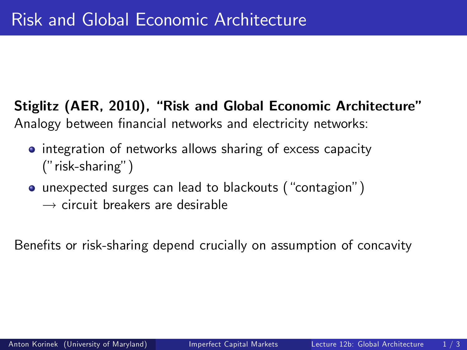Stiglitz (AER, 2010), "Risk and Global Economic Architecture" Analogy between financial networks and electricity networks:

- integration of networks allows sharing of excess capacity  $(''risk-sharing'')$
- unexpected surges can lead to blackouts ("contagion")
	- $\rightarrow$  circuit breakers are desirable

<span id="page-0-0"></span>Benefits or risk-sharing depend crucially on assumption of concavity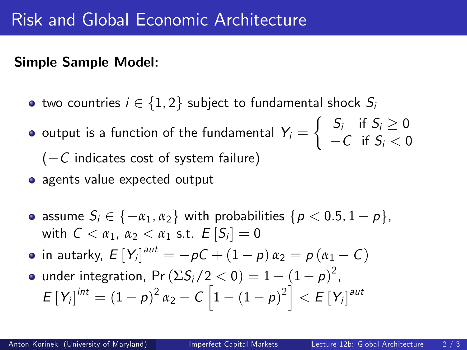## Simple Sample Model:

- two countries  $i \in \{1, 2\}$  subject to fundamental shock  $S_i$
- output is a function of the fundamental  $\left| Y_{i}= \right|$  $\left\{\n\begin{array}{ll}\nS_i & \text{if } S_i \geq 0 \\
\text{if } S_i & \text{if } S_i\n\end{array}\n\right.$  $-C$  if  $S_i < 0$  $(-C$  indicates cost of system failure)
- agents value expected output
- assume  $S_i \in \{-\alpha_1, \alpha_2\}$  with probabilities  $\{p < 0.5, 1 p\},\$ with  $C < \alpha_1, \alpha_2 < \alpha_1$  s.t.  $E[S_i] = 0$
- in autarky,  $E\left[Y_{i}\right]^{aut}=-\rho C+\left(1-\rho\right)\alpha_{2}=p\left(\alpha_{1}-C\right)$
- under integration, Pr  $(\Sigma S_i/2 < 0) = 1 (1 p)^2$ ,  $\mathcal{L}[Y_i]^{int} = (1-p)^2 \alpha_2 - C \left[1 - (1-p)^2\right] < \mathcal{L}[Y_i]^{aut}$